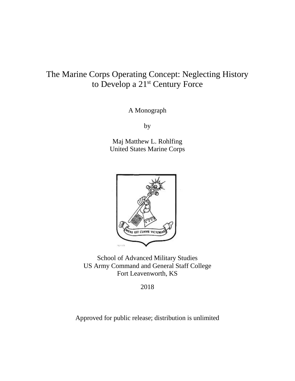# to Develop a 21<sup>st</sup> Century Force The Marine Corps Operating Concept: Neglecting History

A Monograph

by

Maj Matthew L. Rohlfing United States Marine Corps



School of Advanced Military Studies US Army Command and General Staff College Fort Leavenworth, KS

2018

Approved for public release; distribution is unlimited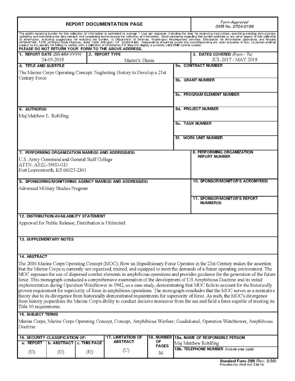| <b>REPORT DOCUMENTATION PAGE</b>                                                                                                                                                                                                                                                                                                                                                                                                                                                         |                                                         |                                   |                          | Form Approved<br>OMB No. 0704-0188 |                                                                                                                                                                                                                                                                                                                                                                                                                                                                                                                                                                                                                                                                                                                                                                                                                                                                                                                                                                                                                                                                                         |  |
|------------------------------------------------------------------------------------------------------------------------------------------------------------------------------------------------------------------------------------------------------------------------------------------------------------------------------------------------------------------------------------------------------------------------------------------------------------------------------------------|---------------------------------------------------------|-----------------------------------|--------------------------|------------------------------------|-----------------------------------------------------------------------------------------------------------------------------------------------------------------------------------------------------------------------------------------------------------------------------------------------------------------------------------------------------------------------------------------------------------------------------------------------------------------------------------------------------------------------------------------------------------------------------------------------------------------------------------------------------------------------------------------------------------------------------------------------------------------------------------------------------------------------------------------------------------------------------------------------------------------------------------------------------------------------------------------------------------------------------------------------------------------------------------------|--|
| The public reporting burden for this collection of information is estimated to average 1 hour per response, including the time for reviewing instructions, searching existing data sources,<br>method and methods and completing and reviewing the collection of information. Send comments regarding this burden estimate or any other aspect of this collection<br>of information, including ture burden to the detection of i<br>PLEASE DO NOT RETURN YOUR FORM TO THE ABOVE ADDRESS. |                                                         |                                   |                          |                                    |                                                                                                                                                                                                                                                                                                                                                                                                                                                                                                                                                                                                                                                                                                                                                                                                                                                                                                                                                                                                                                                                                         |  |
| 1. REPORT DATE (DD-MM-YYYY)<br>24-05-2018                                                                                                                                                                                                                                                                                                                                                                                                                                                |                                                         | 2. REPORT TYPE<br>Master's Thesis |                          |                                    | 3. DATES COVERED (From - To)<br>JUL 2017 - MAY 2018                                                                                                                                                                                                                                                                                                                                                                                                                                                                                                                                                                                                                                                                                                                                                                                                                                                                                                                                                                                                                                     |  |
| <b>4. TITLE AND SUBTITLE</b>                                                                                                                                                                                                                                                                                                                                                                                                                                                             |                                                         |                                   |                          |                                    | <b>5a. CONTRACT NUMBER</b>                                                                                                                                                                                                                                                                                                                                                                                                                                                                                                                                                                                                                                                                                                                                                                                                                                                                                                                                                                                                                                                              |  |
| The Marine Corps Operating Concept: Neglecting History to Develop a 21st                                                                                                                                                                                                                                                                                                                                                                                                                 |                                                         |                                   |                          |                                    |                                                                                                                                                                                                                                                                                                                                                                                                                                                                                                                                                                                                                                                                                                                                                                                                                                                                                                                                                                                                                                                                                         |  |
| Century Force                                                                                                                                                                                                                                                                                                                                                                                                                                                                            |                                                         |                                   |                          |                                    | <b>5b. GRANT NUMBER</b>                                                                                                                                                                                                                                                                                                                                                                                                                                                                                                                                                                                                                                                                                                                                                                                                                                                                                                                                                                                                                                                                 |  |
|                                                                                                                                                                                                                                                                                                                                                                                                                                                                                          |                                                         |                                   |                          |                                    | 5c. PROGRAM ELEMENT NUMBER                                                                                                                                                                                                                                                                                                                                                                                                                                                                                                                                                                                                                                                                                                                                                                                                                                                                                                                                                                                                                                                              |  |
| 6. AUTHOR(S)                                                                                                                                                                                                                                                                                                                                                                                                                                                                             |                                                         |                                   |                          | <b>5d. PROJECT NUMBER</b>          |                                                                                                                                                                                                                                                                                                                                                                                                                                                                                                                                                                                                                                                                                                                                                                                                                                                                                                                                                                                                                                                                                         |  |
| Maj Matthew L. Rohlfing                                                                                                                                                                                                                                                                                                                                                                                                                                                                  |                                                         |                                   |                          |                                    |                                                                                                                                                                                                                                                                                                                                                                                                                                                                                                                                                                                                                                                                                                                                                                                                                                                                                                                                                                                                                                                                                         |  |
|                                                                                                                                                                                                                                                                                                                                                                                                                                                                                          |                                                         |                                   |                          |                                    | <b>5e. TASK NUMBER</b>                                                                                                                                                                                                                                                                                                                                                                                                                                                                                                                                                                                                                                                                                                                                                                                                                                                                                                                                                                                                                                                                  |  |
|                                                                                                                                                                                                                                                                                                                                                                                                                                                                                          |                                                         |                                   |                          |                                    | <b>5f. WORK UNIT NUMBER</b>                                                                                                                                                                                                                                                                                                                                                                                                                                                                                                                                                                                                                                                                                                                                                                                                                                                                                                                                                                                                                                                             |  |
| 7. PERFORMING ORGANIZATION NAME(S) AND ADDRESS(ES)                                                                                                                                                                                                                                                                                                                                                                                                                                       |                                                         |                                   |                          |                                    | 8. PERFORMING ORGANIZATION                                                                                                                                                                                                                                                                                                                                                                                                                                                                                                                                                                                                                                                                                                                                                                                                                                                                                                                                                                                                                                                              |  |
| U.S. Army Command and General Staff College                                                                                                                                                                                                                                                                                                                                                                                                                                              |                                                         |                                   |                          |                                    | <b>REPORT NUMBER</b>                                                                                                                                                                                                                                                                                                                                                                                                                                                                                                                                                                                                                                                                                                                                                                                                                                                                                                                                                                                                                                                                    |  |
| ATTN: ATZL-SWD-GD                                                                                                                                                                                                                                                                                                                                                                                                                                                                        |                                                         |                                   |                          |                                    |                                                                                                                                                                                                                                                                                                                                                                                                                                                                                                                                                                                                                                                                                                                                                                                                                                                                                                                                                                                                                                                                                         |  |
| Fort Leavenworth, KS 66027-2301                                                                                                                                                                                                                                                                                                                                                                                                                                                          |                                                         |                                   |                          |                                    |                                                                                                                                                                                                                                                                                                                                                                                                                                                                                                                                                                                                                                                                                                                                                                                                                                                                                                                                                                                                                                                                                         |  |
|                                                                                                                                                                                                                                                                                                                                                                                                                                                                                          |                                                         |                                   |                          |                                    |                                                                                                                                                                                                                                                                                                                                                                                                                                                                                                                                                                                                                                                                                                                                                                                                                                                                                                                                                                                                                                                                                         |  |
| 9. SPONSORING/MONITORING AGENCY NAME(S) AND ADDRESS(ES)                                                                                                                                                                                                                                                                                                                                                                                                                                  |                                                         |                                   |                          |                                    | 10. SPONSOR/MONITOR'S ACRONYM(S)                                                                                                                                                                                                                                                                                                                                                                                                                                                                                                                                                                                                                                                                                                                                                                                                                                                                                                                                                                                                                                                        |  |
| Advanced Military Studies Program                                                                                                                                                                                                                                                                                                                                                                                                                                                        |                                                         |                                   |                          |                                    |                                                                                                                                                                                                                                                                                                                                                                                                                                                                                                                                                                                                                                                                                                                                                                                                                                                                                                                                                                                                                                                                                         |  |
|                                                                                                                                                                                                                                                                                                                                                                                                                                                                                          |                                                         |                                   |                          |                                    | <b>11. SPONSOR/MONITOR'S REPORT</b><br><b>NUMBER(S)</b>                                                                                                                                                                                                                                                                                                                                                                                                                                                                                                                                                                                                                                                                                                                                                                                                                                                                                                                                                                                                                                 |  |
| <b>12. DISTRIBUTION/AVAILABILITY STATEMENT</b>                                                                                                                                                                                                                                                                                                                                                                                                                                           |                                                         |                                   |                          |                                    |                                                                                                                                                                                                                                                                                                                                                                                                                                                                                                                                                                                                                                                                                                                                                                                                                                                                                                                                                                                                                                                                                         |  |
|                                                                                                                                                                                                                                                                                                                                                                                                                                                                                          |                                                         |                                   |                          |                                    |                                                                                                                                                                                                                                                                                                                                                                                                                                                                                                                                                                                                                                                                                                                                                                                                                                                                                                                                                                                                                                                                                         |  |
|                                                                                                                                                                                                                                                                                                                                                                                                                                                                                          | Approved for Public Release; Distribution is Unlimited. |                                   |                          |                                    |                                                                                                                                                                                                                                                                                                                                                                                                                                                                                                                                                                                                                                                                                                                                                                                                                                                                                                                                                                                                                                                                                         |  |
| 13. SUPPLEMENTARY NOTES                                                                                                                                                                                                                                                                                                                                                                                                                                                                  |                                                         |                                   |                          |                                    |                                                                                                                                                                                                                                                                                                                                                                                                                                                                                                                                                                                                                                                                                                                                                                                                                                                                                                                                                                                                                                                                                         |  |
| 14. ABSTRACT                                                                                                                                                                                                                                                                                                                                                                                                                                                                             |                                                         |                                   |                          |                                    |                                                                                                                                                                                                                                                                                                                                                                                                                                                                                                                                                                                                                                                                                                                                                                                                                                                                                                                                                                                                                                                                                         |  |
| Title 10 requirements.                                                                                                                                                                                                                                                                                                                                                                                                                                                                   |                                                         |                                   |                          |                                    | The 2016 Marine Corps Operating Concept (MOC); How an Expeditionary Force Operates in the 21st Century makes the assertion<br>that the Marine Corps is currently not organized, trained, and equipped to meet the demands of a future operating environment. The<br>MOC espouses the use of dispersed combat elements in amphibious operations and provides guidance for the generation of the future<br>force. This monograph conducted a comprehensive examination of the development of US Amphibious Doctrine and its initial<br>implementation during Operation Watchtower in 1942, as a case study, demonstrating that MOC fails to account for the historically<br>proven requirement for superiority of force in amphibious operations. The monograph concludes that the MOC serves as a normative<br>theory due to its divergence from historically demonstrated requirements for superiority of force. As such, the MOC's divergence<br>from history jeopardizes the Marine Corp's ability to conduct decisive maneuver from the sea and field a force capable of meeting its |  |
| <b>15. SUBJECT TERMS</b>                                                                                                                                                                                                                                                                                                                                                                                                                                                                 |                                                         |                                   |                          |                                    |                                                                                                                                                                                                                                                                                                                                                                                                                                                                                                                                                                                                                                                                                                                                                                                                                                                                                                                                                                                                                                                                                         |  |
| Marine Corps; Marine Corps Operating Concept, Concept, Amphibious Warfare; Guadalcanal, Operation Watchtower, Amphibious<br>Doctrine                                                                                                                                                                                                                                                                                                                                                     |                                                         |                                   |                          |                                    |                                                                                                                                                                                                                                                                                                                                                                                                                                                                                                                                                                                                                                                                                                                                                                                                                                                                                                                                                                                                                                                                                         |  |
| 16. SECURITY CLASSIFICATION OF:                                                                                                                                                                                                                                                                                                                                                                                                                                                          |                                                         | <b>17. LIMITATION OF</b>          |                          |                                    | 18. NUMBER 19a. NAME OF RESPONSIBLE PERSON                                                                                                                                                                                                                                                                                                                                                                                                                                                                                                                                                                                                                                                                                                                                                                                                                                                                                                                                                                                                                                              |  |
| a. REPORT<br>b. ABSTRACT   c. THIS PAGE                                                                                                                                                                                                                                                                                                                                                                                                                                                  |                                                         | <b>ABSTRACT</b>                   | ОF<br><b>PAGES</b>       |                                    | Maj Matthew Rohlfing                                                                                                                                                                                                                                                                                                                                                                                                                                                                                                                                                                                                                                                                                                                                                                                                                                                                                                                                                                                                                                                                    |  |
| $\pi$<br>(T <sub>1</sub> )                                                                                                                                                                                                                                                                                                                                                                                                                                                               | (T <sub>T</sub> )                                       | $(\mathrm{U})$                    | $\overline{\mathcal{L}}$ |                                    | 19b. TELEPHONE NUMBER (Include area code)                                                                                                                                                                                                                                                                                                                                                                                                                                                                                                                                                                                                                                                                                                                                                                                                                                                                                                                                                                                                                                               |  |

36

(U) (U) (U)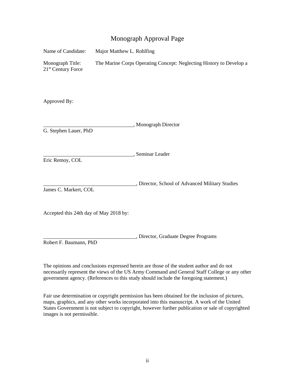### Monograph Approval Page

| Name of Candidate:                                 | Major Matthew L. Rohlfing |                                                                     |
|----------------------------------------------------|---------------------------|---------------------------------------------------------------------|
| Monograph Title:<br>21 <sup>st</sup> Century Force |                           | The Marine Corps Operating Concept: Neglecting History to Develop a |
| Approved By:                                       |                           |                                                                     |
| G. Stephen Lauer, PhD                              |                           | "Monograph Director                                                 |
| Eric Remoy, COL                                    |                           | , Seminar Leader                                                    |
| James C. Markert, COL                              |                           | , Director, School of Advanced Military Studies                     |
| Accepted this 24th day of May 2018 by:             |                           |                                                                     |
| Robert F. Baumann, PhD                             |                           | , Director, Graduate Degree Programs                                |

 The opinions and conclusions expressed herein are those of the student author and do not necessarily represent the views of the US Army Command and General Staff College or any other government agency. (References to this study should include the foregoing statement.)

 Fair use determination or copyright permission has been obtained for the inclusion of pictures, maps, graphics, and any other works incorporated into this manuscript. A work of the United States Government is not subject to copyright, however further publication or sale of copyrighted images is not permissible.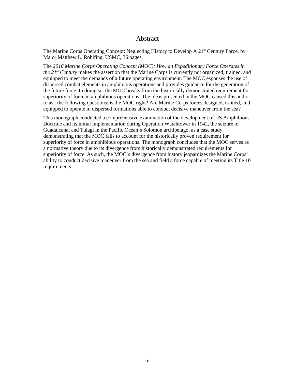#### Abstract

<span id="page-3-0"></span>The Marine Corps Operating Concept: Neglecting History to Develop A 21<sup>st</sup> Century Force, by Major Matthew L. Rohlfing, USMC, 36 pages.

 the future force. In doing so, the MOC breaks from the historically demonstrated requirement for superiority of force in amphibious operations. The ideas presented in the MOC caused this author to ask the following questions: is the MOC right? Are Marine Corps forces designed, trained, and The *2016 Marine Corps Operating Concept (MOC); How an Expeditionary Force Operates in the 21st Century* makes the assertion that the Marine Corps is currently not organized, trained, and equipped to meet the demands of a future operating environment. The MOC espouses the use of dispersed combat elements in amphibious operations and provides guidance for the generation of equipped to operate in dispersed formations able to conduct decisive maneuver from the sea?

 Doctrine and its initial implementation during Operation Watchtower in 1942, the seizure of Guadalcanal and Tulagi in the Pacific Ocean's Solomon archipelago, as a case study, demonstrating that the MOC fails to account for the historically proven requirement for a normative theory due to its divergence from historically demonstrated requirements for This monograph conducted a comprehensive examination of the development of US Amphibious superiority of force in amphibious operations. The monograph concludes that the MOC serves as superiority of force. As such, the MOC's divergence from history jeopardizes the Marine Corps' ability to conduct decisive maneuver from the sea and field a force capable of meeting its Title 10 requirements.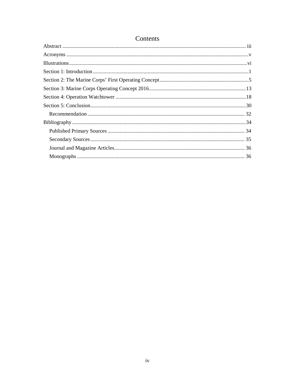| Contents |  |  |  |
|----------|--|--|--|
|          |  |  |  |
|          |  |  |  |
|          |  |  |  |
|          |  |  |  |
|          |  |  |  |
|          |  |  |  |
|          |  |  |  |
|          |  |  |  |
|          |  |  |  |
|          |  |  |  |
|          |  |  |  |
|          |  |  |  |
|          |  |  |  |
|          |  |  |  |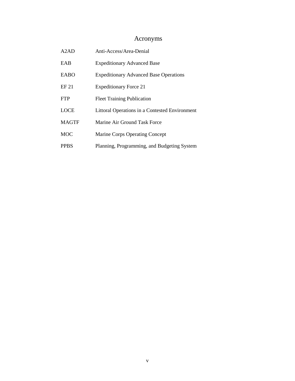## <span id="page-5-0"></span>Acronyms

| A2AD         | Anti-Access/Area-Denial                        |
|--------------|------------------------------------------------|
| EAB          | <b>Expeditionary Advanced Base</b>             |
| EABO         | <b>Expeditionary Advanced Base Operations</b>  |
| EF 21        | <b>Expeditionary Force 21</b>                  |
| <b>FTP</b>   | <b>Fleet Training Publication</b>              |
| <b>LOCE</b>  | Littoral Operations in a Contested Environment |
| <b>MAGTF</b> | Marine Air Ground Task Force                   |
| <b>MOC</b>   | Marine Corps Operating Concept                 |
| <b>PPBS</b>  | Planning, Programming, and Budgeting System    |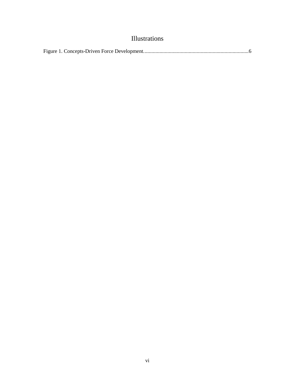## Illustrations

<span id="page-6-0"></span>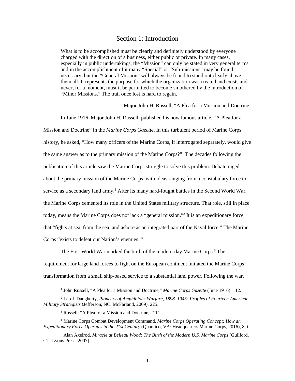#### Section 1: Introduction

<span id="page-7-0"></span>What is to be accomplished must be clearly and definitely understood by everyone charged with the direction of a business, either public or private. In many cases, especially in public undertakings, the "Mission" can only be stated in very general terms and in the accomplishment of it many "Special" or "Sub-missions" may be found necessary, but the "General Mission" will always be found to stand out clearly above them all. It represents the purpose for which the organization was created and exists and never, for a moment, must it be permitted to become smothered by the introduction of "Minor Missions." The trail once lost is hard to regain.

—Major John H. Russell, "A Plea for a Mission and Doctrine"

 In June 1916, Major John H. Russell, published his now famous article, "A Plea for a Mission and Doctrine" in the *Marine Corps Gazette*. In this turbulent period of Marine Corps history, he asked, "How many officers of the Marine Corps, if interrogated separately, would give about the primary mission of the Marine Corps, with ideas ranging from a constabulary force to the Marine Corps cemented its role in the United States military structure. That role, still in place the same answer as to the primary mission of the Marine Corps?"1 The decades following the publication of this article saw the Marine Corps struggle to solve this problem. Debate raged service as a secondary land army.<sup>2</sup> After its many hard-fought battles in the Second World War, today, means the Marine Corps does not lack a "general mission."3 It is an expeditionary force that "fights at sea, from the sea, and ashore as an integrated part of the Naval force." The Marine Corps "exists to defeat our Nation's enemies."4

 requirement for large land forces to fight on the European continent initiated the Marine Corps' The First World War marked the birth of the modern-day Marine Corps.<sup>5</sup> The transformation from a small ship-based service to a substantial land power. Following the war,

-

1

<sup>&</sup>lt;sup>1</sup> John Russell, "A Plea for a Mission and Doctrine," *Marine Corps Gazette* (June 1916): 112.

 *Military Strategists* (Jefferson, NC: McFarland, 2009), 225. 2 Leo J. Daugherty, *Pioneers of Amphibious Warfare, 1898–1945: Profiles of Fourteen American* 

<sup>&</sup>lt;sup>3</sup> Russell, "A Plea for a Mission and Doctrine," 111.

<sup>4</sup> Marine Corps Combat Development Command, *Marine Corps Operating Concept; How an Expeditionary Force Operates in the 21st Century* (Quantico, VA: Headquarters Marine Corps, 2016), 8, i.

<sup>5</sup> Alan Axelrod, *Miracle at Belleau Wood: The Birth of the Modern U.S. Marine Corps* (Guilford, CT: Lyons Press, 2007).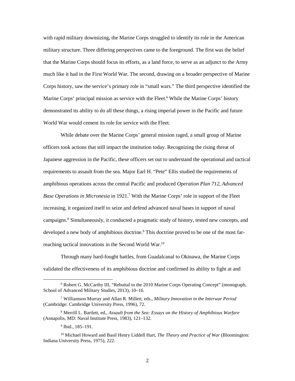with rapid military downsizing, the Marine Corps struggled to identify its role in the American that the Marine Corps should focus its efforts, as a land force, to serve as an adjunct to the Army Marine Corps' principal mission as service with the Fleet.<sup>6</sup> While the Marine Corps' history military structure. Three differing perspectives came to the foreground. The first was the belief much like it had in the First World War. The second, drawing on a broader perspective of Marine Corps history, saw the service's primary role in "small wars." The third perspective identified the demonstrated its ability to do all these things, a rising imperial power in the Pacific and future World War would cement its role for service with the Fleet.

 Japanese aggression in the Pacific, these officers set out to understand the operational and tactical amphibious operations across the central Pacific and produced *Operation Plan 712, Advanced*  campaigns. 8 Simultaneously, it conducted a pragmatic study of history, tested new concepts, and developed a new body of amphibious doctrine.<sup>9</sup> This doctrine proved to be one of the most farreaching tactical innovations in the Second World War.<sup>10</sup> While debate over the Marine Corps' general mission raged, a small group of Marine officers took actions that still impact the institution today. Recognizing the rising threat of requirements to assault from the sea. Major Earl H. "Pete" Ellis studied the requirements of *Base Operations in Micronesia* in 1921.<sup>7</sup> With the Marine Corps' role in support of the Fleet increasing, it organized itself to seize and defend advanced naval bases in support of naval

 validated the effectiveness of its amphibious doctrine and confirmed its ability to fight at and Through many hard-fought battles, from Guadalcanal to Okinawa, the Marine Corps

 $\overline{a}$ 

<sup>6</sup> Robert G. McCarthy III, "Rebuttal to the 2010 Marine Corps Operating Concept" (monograph, School of Advanced Military Studies, 2013), 10–16.

<sup>7</sup> Williamson Murray and Allan R. Millett, eds., *Military Innovation in the Interwar Period*  (Cambridge: Cambridge University Press, 1996), 72.

<sup>8</sup> Merrill L. Bartlett, ed., *Assault from the Sea: Essays on the History of Amphibious Warfare*  (Annapolis, MD: Naval Institute Press, 1983), 121–132.

<sup>&</sup>lt;sup>9</sup> Ibid., 185–191.

<sup>10</sup> Michael Howard and Basil Henry Liddell Hart, *The Theory and Practice of War* (Bloomington: Indiana University Press, 1975), 222.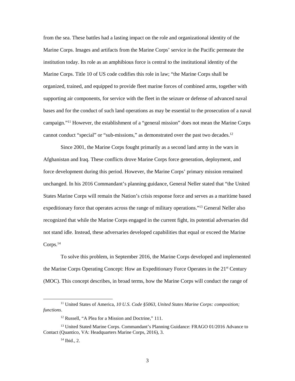institution today. Its role as an amphibious force is central to the institutional identity of the Marine Corps. Title 10 of US code codifies this role in law; "the Marine Corps shall be supporting air components, for service with the fleet in the seizure or defense of advanced naval bases and for the conduct of such land operations as may be essential to the prosecution of a naval campaign."<sup>11</sup> However, the establishment of a "general mission" does not mean the Marine Corps from the sea. These battles had a lasting impact on the role and organizational identity of the Marine Corps. Images and artifacts from the Marine Corps' service in the Pacific permeate the organized, trained, and equipped to provide fleet marine forces of combined arms, together with cannot conduct "special" or "sub-missions," as demonstrated over the past two decades.<sup>12</sup>

 Since 2001, the Marine Corps fought primarily as a second land army in the wars in unchanged. In his 2016 Commandant's planning guidance, General Neller stated that "the United expeditionary force that operates across the range of military operations."<sup>13</sup> General Neller also Corps.<sup>14</sup> Afghanistan and Iraq. These conflicts drove Marine Corps force generation, deployment, and force development during this period. However, the Marine Corps' primary mission remained States Marine Corps will remain the Nation's crisis response force and serves as a maritime based recognized that while the Marine Corps engaged in the current fight, its potential adversaries did not stand idle. Instead, these adversaries developed capabilities that equal or exceed the Marine

the Marine Corps Operating Concept: How an Expeditionary Force Operates in the 21<sup>st</sup> Century (MOC). This concept describes, in broad terms, how the Marine Corps will conduct the range of To solve this problem, in September 2016, the Marine Corps developed and implemented

 $\overline{a}$ 

 11 United States of America, *10 U.S. Code §5063, United States Marine Corps: composition;*  functions. *functions*. 12 Russell, "A Plea for a Mission and Doctrine," 111.

 Contact (Quantico, VA: Headquarters Marine Corps, 2016), 3. <sup>13</sup> United Stated Marine Corps. Commandant's Planning Guidance: FRAGO 01/2016 Advance to

 14 Ibid., 2.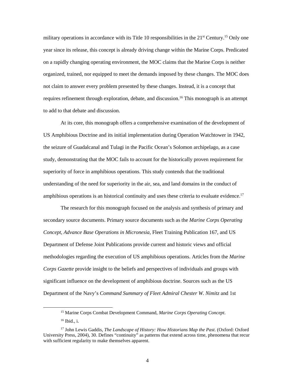military operations in accordance with its Title 10 responsibilities in the 21<sup>st</sup> [Century.](https://Century.15)<sup>15</sup> Only one on a rapidly changing operating environment, the MOC claims that the Marine Corps is neither organized, trained, nor equipped to meet the demands imposed by these changes. The MOC does not claim to answer every problem presented by these changes. Instead, it is a concept that year since its release, this concept is already driving change within the Marine Corps. Predicated requires refinement through exploration, debate, and discussion.<sup>16</sup> This monograph is an attempt to add to that debate and discussion.

 At its core, this monograph offers a comprehensive examination of the development of US Amphibious Doctrine and its initial implementation during Operation Watchtower in 1942, the seizure of Guadalcanal and Tulagi in the Pacific Ocean's Solomon archipelago, as a case study, demonstrating that the MOC fails to account for the historically proven requirement for superiority of force in amphibious operations. This study contends that the traditional understanding of the need for superiority in the air, sea, and land domains in the conduct of amphibious operations is an historical continuity and uses these criteria to evaluate [evidence.](https://evidence.17)<sup>17</sup>

 *Concept, Advance Base Operations in Micronesia,* Fleet Training Publication 167, and US *Corps Gazette* provide insight to the beliefs and perspectives of individuals and groups with The research for this monograph focused on the analysis and synthesis of primary and secondary source documents. Primary source documents such as the *Marine Corps Operating*  Department of Defense Joint Publications provide current and historic views and official methodologies regarding the execution of US amphibious operations. Articles from the *Marine*  significant influence on the development of amphibious doctrine. Sources such as the US Department of the Navy's *Command Summary of Fleet Admiral Chester W. Nimitz* and 1st

 $\ddot{\phantom{a}}$ 

<sup>15</sup> Marine Corps Combat Development Command, *Marine Corps Operating Concept*.

 16 Ibid., i.

 with sufficient regularity to make themselves apparent. 17 John Lewis Gaddis, *The Landscape of History: How Historians Map the Past*. (Oxford: Oxford University Press, 2004), 30. Defines "continuity" as patterns that extend across time, phenomena that recur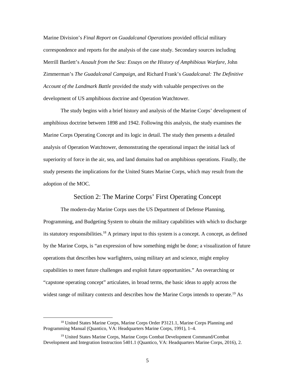correspondence and reports for the analysis of the case study. Secondary sources including Marine Division's *Final Report on Guadalcanal Operations* provided official military Merrill Bartlett's *Assault from the Sea: Essays on the History of Amphibious Warfare,* John Zimmerman's *The Guadalcanal Campaign*, and Richard Frank's *Guadalcanal: The Definitive Account of the Landmark Battle* provided the study with valuable perspectives on the development of US amphibious doctrine and Operation Watchtower.

 The study begins with a brief history and analysis of the Marine Corps' development of analysis of Operation Watchtower, demonstrating the operational impact the initial lack of superiority of force in the air, sea, and land domains had on amphibious operations. Finally, the study presents the implications for the United States Marine Corps, which may result from the amphibious doctrine between 1898 and 1942. Following this analysis, the study examines the Marine Corps Operating Concept and its logic in detail. The study then presents a detailed adoption of the MOC.

#### Section 2: The Marine Corps' First Operating Concept

<span id="page-11-0"></span>its statutory responsibilities.<sup>18</sup> A primary input to this system is a concept. A concept, as defined capabilities to meet future challenges and exploit future opportunities." An overarching or The modern-day Marine Corps uses the US Department of Defense Planning, Programming, and Budgeting System to obtain the military capabilities with which to discharge by the Marine Corps, is "an expression of how something might be done; a visualization of future operations that describes how warfighters, using military art and science, might employ "capstone operating concept" articulates, in broad terms, the basic ideas to apply across the widest range of military contexts and describes how the Marine Corps intends to operate.<sup>19</sup> As

 $\overline{a}$ 

<sup>&</sup>lt;sup>18</sup> United States Marine Corps, Marine Corps Order P3121.1, Marine Corps Planning and Programming Manual (Quantico, VA: Headquarters Marine Corps, 1991), 1–4.

<sup>19</sup> United States Marine Corps, Marine Corps Combat Development Command/Combat Development and Integration Instruction 5401.1 (Quantico, VA: Headquarters Marine Corps, 2016), 2.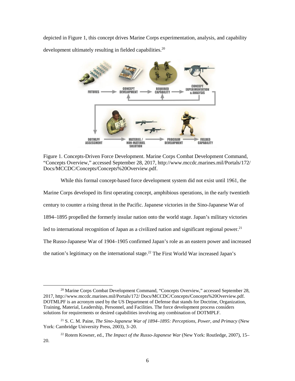depicted in Figure 1, this concept drives Marine Corps experimentation, analysis, and capability



development ultimately resulting in fielded [capabilities.](https://capabilities.20)<sup>20</sup>

<span id="page-12-0"></span>Figure 1. Concepts-Driven Force Development. Marine Corps Combat Development Command, "Concepts Overview," accessed September 28, 2017,<http://www.mccdc.marines.mil/Portals/172>/ Docs/MCCDC/Concepts/Concepts%20Overview.pdf.

 While this formal concept-based force development system did not exist until 1961, the century to counter a rising threat in the Pacific. Japanese victories in the Sino-Japanese War of led to international recognition of Japan as a civilized nation and significant regional power.<sup>21</sup> The Russo-Japanese War of 1904–1905 confirmed Japan's role as an eastern power and increased the nation's legitimacy on the international stage.<sup>22</sup> The First World War increased Japan's Marine Corps developed its first operating concept, amphibious operations, in the early twentieth 1894–1895 propelled the formerly insular nation onto the world stage. Japan's military victories

 $\overline{a}$  $^{20}$  Marine Corps Combat Development Command, "Concepts Overview," accessed September 28, 2017,<http://www.mccdc.marines.mil/Portals/172>/ Docs/MCCDC/Concepts/Concepts%20Overview.pdf. DOTMLPF is an acronym used by the US Department of Defense that stands for Doctrine, Organization, Training, Material, Leadership, Personnel, and Facilities. The force development process considers solutions for requirements or desired capabilities involving any combination of DOTMPLF.

<sup>21</sup> S. C. M. Paine, *The Sino-Japanese War of 1894–1895: Perceptions, Power, and Primacy* (New York: Cambridge University Press, 2003), 3–20.

<sup>22</sup> Rotem Kowner, ed., *The Impact of the Russo-Japanese War* (New York: Routledge, 2007), 15– 20.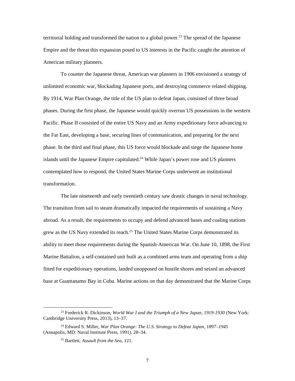Empire and the threat this expansion posed to US interests in the Pacific caught the attention of territorial holding and transformed the nation to a global power.<sup>23</sup> The spread of the Japanese American military planners.

 By 1914, War Plan Orange, the title of the US plan to defeat Japan, consisted of three broad Pacific. Phase II consisted of the entire US Navy and an Army expeditionary force advancing to the Far East, developing a base, securing lines of communication, and preparing for the next phase. In the third and final phase, this US force would blockade and siege the Japanese home islands until the Japanese Empire capitulated.<sup>24</sup> While Japan's power rose and US planners contemplated how to respond, the United States Marine Corps underwent an institutional To counter the Japanese threat, American war planners in 1906 envisioned a strategy of unlimited economic war, blockading Japanese ports, and destroying commerce related shipping. phases. During the first phase, the Japanese would quickly overrun US possessions in the western transformation.

 abroad. As a result, the requirements to occupy and defend advanced bases and coaling stations ability to meet those requirements during the Spanish-American War. On June 10, 1898, the First Marine Battalion, a self-contained unit built as a combined arms team and operating from a ship base at Guantanamo Bay in Cuba. Marine actions on that day demonstrated that the Marine Corps The late nineteenth and early twentieth century saw drastic changes in naval technology. The transition from sail to steam dramatically impacted the requirements of sustaining a Navy grew as the US Navy extended its [reach.25](https://reach.25) The United States Marine Corps demonstrated its fitted for expeditionary operations, landed unopposed on hostile shores and seized an advanced

 $\ddot{\phantom{a}}$ 

<sup>23</sup> Frederick R. Dickinson, *World War I and the Triumph of a New Japan, 1919-1930* (New York: Cambridge University Press, 2013), 13–37.

<sup>24</sup> Edward S. Miller, *War Plan Orange: The U.S. Strategy to Defeat Japan, 1897–1945*  (Annapolis, MD: Naval Institute Press, 1991), 28–34.

 25 Bartlett, *Assault from the Sea*, 121.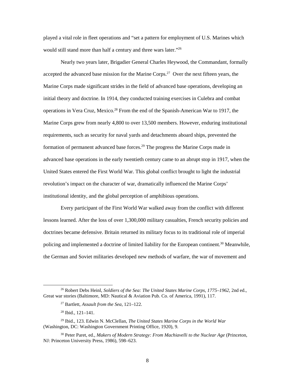played a vital role in fleet operations and "set a pattern for employment of U.S. Marines which would still stand more than half a century and three wars later."26

accepted the advanced base mission for the Marine Corps.<sup>27</sup> Over the next fifteen years, the initial theory and doctrine. In 1914, they conducted training exercises in Culebra and combat advanced base operations in the early twentieth century came to an abrupt stop in 1917, when the United States entered the First World War. This global conflict brought to light the industrial revolution's impact on the character of war, dramatically influenced the Marine Corps' Nearly two years later, Brigadier General Charles Heywood, the Commandant, formally Marine Corps made significant strides in the field of advanced base operations, developing an operations in Vera Cruz, [Mexico.28](https://Mexico.28) From the end of the Spanish-American War to 1917, the Marine Corps grew from nearly 4,800 to over 13,500 members. However, enduring institutional requirements, such as security for naval yards and detachments aboard ships, prevented the formation of permanent advanced base [forces.](https://forces.29) 29 The progress the Marine Corps made in institutional identity, and the global perception of amphibious operations.

 lessons learned. After the loss of over 1,300,000 military casualties, French security policies and Every participant of the First World War walked away from the conflict with different doctrines became defensive. Britain returned its military focus to its traditional role of imperial policing and implemented a doctrine of limited liability for the European continent.<sup>30</sup> Meanwhile, the German and Soviet militaries developed new methods of warfare, the war of movement and

 $\overline{a}$ 

<sup>26</sup> Robert Debs Heinl, *Soldiers of the Sea: The United States Marine Corps, 1775–1962*, 2nd ed., Great war stories (Baltimore, MD: Nautical & Aviation Pub. Co. of America, 1991), 117.

 27 Bartlett, *Assault from the Sea*, 121–122.

 $28$  Ibid.,  $121-141$ .

 29 Ibid., 123. Edwin N. McClellan, *The United States Marine Corps in the World War*  (Washington, DC: Washington Government Printing Office, 1920), 9.

 30 Peter Paret, ed., *Makers of Modern Strategy: From Machiavelli to the Nuclear Age* (Princeton, NJ: Princeton University Press, 1986), 598–623.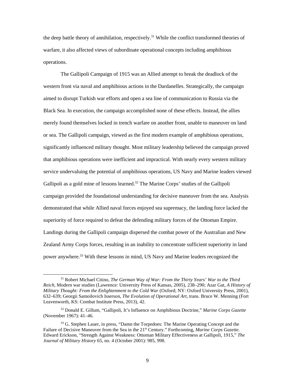the deep battle theory of annihilation, [respectively.](https://respectively.31)<sup>31</sup> While the conflict transformed theories of warfare, it also affected views of subordinate operational concepts including amphibious operations.

 The Gallipoli Campaign of 1915 was an Allied attempt to break the deadlock of the western front via naval and amphibious actions in the Dardanelles. Strategically, the campaign aimed to disrupt Turkish war efforts and open a sea line of communication to Russia via the or sea. The Gallipoli campaign, viewed as the first modern example of amphibious operations, significantly influenced military thought. Most military leadership believed the campaign proved that amphibious operations were inefficient and impractical. With nearly every western military Gallipoli as a gold mine of lessons learned.<sup>32</sup> The Marine Corps' studies of the Gallipoli Zealand Army Corps forces, resulting in an inability to concentrate sufficient superiority in land Black Sea. In execution, the campaign accomplished none of these effects. Instead, the allies merely found themselves locked in trench warfare on another front, unable to maneuver on land service undervaluing the potential of amphibious operations, US Navy and Marine leaders viewed campaign provided the foundational understanding for decisive maneuver from the sea. Analysis demonstrated that while Allied naval forces enjoyed sea supremacy, the landing force lacked the superiority of force required to defeat the defending military forces of the Ottoman Empire. Landings during the Gallipoli campaign dispersed the combat power of the Australian and New power anywhere.<sup>33</sup> With these lessons in mind, US Navy and Marine leaders recognized the

-

<sup>31</sup> Robert Michael Citino, *The German Way of War: From the Thirty Years' War to the Third Reich*, Modern war studies (Lawrence: University Press of Kansas, 2005), 238–290; Azar Gat, *A History of Military Thought: From the Enlightenment to the Cold War (Oxford; NY: Oxford University Press, 2001),* 632–639; Georgii Samoilovich Isserson, *The Evolution of Operational Art*, trans. Bruce W. Menning (Fort Leavenworth, KS: Combat Institute Press, 2013), 42.

 (November 1967): 41–46. 32 Donald E. Gillum, "Gallipoli, It's Influence on Amphibious Doctrine," *Marine Corps Gazette* 

 Edward Erickson, "Strength Against Weakness: Ottoman Military Effectiveness at Gallipoli, 1915," *The*  <sup>33</sup> G. Stephen Lauer, in press, "Damn the Torpedoes: The Marine Operating Concept and the Failure of Decisive Maneuver from the Sea in the 21st Century." Forthcoming, *Marine Corps Gazette*. *Journal of Military History* 65, no. 4 (October 2001): 985, 998.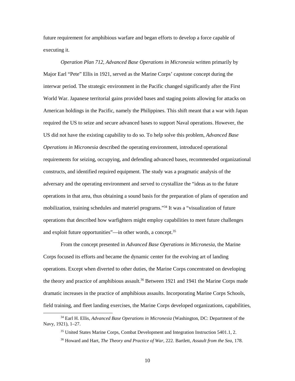future requirement for amphibious warfare and began efforts to develop a force capable of executing it.

 *Operation Plan 712, Advanced Base Operations in Micronesia* written primarily by American holdings in the Pacific, namely the Philippines. This shift meant that a war with Japan US did not have the existing capability to do so. To help solve this problem, *Advanced Base Operations in Micronesia* described the operating environment, introduced operational Major Earl "Pete" Ellis in 1921, served as the Marine Corps' capstone concept during the interwar period. The strategic environment in the Pacific changed significantly after the First World War. Japanese territorial gains provided bases and staging points allowing for attacks on required the US to seize and secure advanced bases to support Naval operations. However, the requirements for seizing, occupying, and defending advanced bases, recommended organizational constructs, and identified required equipment. The study was a pragmatic analysis of the adversary and the operating environment and served to crystallize the "ideas as to the future operations in that area, thus obtaining a sound basis for the preparation of plans of operation and mobilization, training schedules and materiel programs."34 It was a "visualization of future operations that described how warfighters might employ capabilities to meet future challenges and exploit future opportunities"—in other words, a concept. $35$ 

 Corps focused its efforts and became the dynamic center for the evolving art of landing From the concept presented in *Advanced Base Operations in Micronesia*, the Marine operations. Except when diverted to other duties, the Marine Corps concentrated on developing the theory and practice of amphibious assault.<sup>36</sup> Between 1921 and 1941 the Marine Corps made dramatic increases in the practice of amphibious assaults. Incorporating Marine Corps Schools, field training, and fleet landing exercises, the Marine Corps developed organizations, capabilities,

<sup>34</sup> Earl H. Ellis, *Advanced Base Operations in Micronesia* (Washington, DC: Department of the Navy, 1921), 1–27.

<sup>&</sup>lt;sup>35</sup> United States Marine Corps, Combat Development and Integration Instruction 5401.1, 2.

 36 Howard and Hart, *The Theory and Practice of War,* 222. Bartlett, *Assault from the Sea*, 178.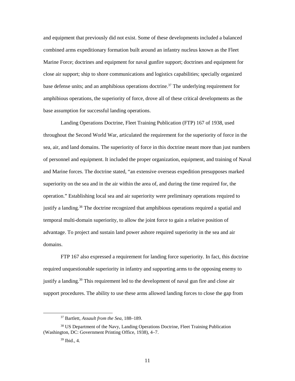and equipment that previously did not exist. Some of these developments included a balanced combined arms expeditionary formation built around an infantry nucleus known as the Fleet Marine Force; doctrines and equipment for naval gunfire support; doctrines and equipment for close air support; ship to shore communications and logistics capabilities; specially organized base defense units; and an amphibious operations doctrine.<sup>37</sup> The underlying requirement for amphibious operations, the superiority of force, drove all of these critical developments as the base assumption for successful landing operations.

 Landing Operations Doctrine, Fleet Training Publication (FTP) 167 of 1938, used throughout the Second World War, articulated the requirement for the superiority of force in the sea, air, and land domains. The superiority of force in this doctrine meant more than just numbers superiority on the sea and in the air within the area of, and during the time required for, the justify a landing.<sup>38</sup> The doctrine recognized that amphibious operations required a spatial and temporal multi-domain superiority, to allow the joint force to gain a relative position of advantage. To project and sustain land power ashore required superiority in the sea and air domains. of personnel and equipment. It included the proper organization, equipment, and training of Naval and Marine forces. The doctrine stated, "an extensive overseas expedition presupposes marked operation." Establishing local sea and air superiority were preliminary operations required to

 required unquestionable superiority in infantry and supporting arms to the opposing enemy to support procedures. The ability to use these arms allowed landing forces to close the gap from FTP 167 also expressed a requirement for landing force superiority. In fact, this doctrine justify a [landing.](https://landing.39)<sup>39</sup> This requirement led to the development of naval gun fire and close air

<sup>37</sup> Bartlett, *Assault from the Sea*, 188–189.

<sup>38</sup> US Department of the Navy, Landing Operations Doctrine, Fleet Training Publication (Washington, DC: Government Printing Office, 1938), 4–7.

 39 Ibid., 4.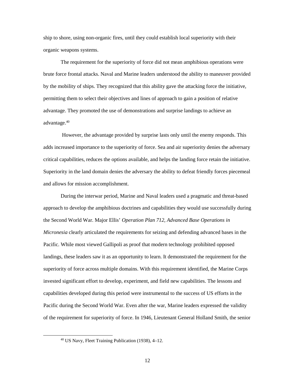ship to shore, using non-organic fires, until they could establish local superiority with their organic weapons systems.

 permitting them to select their objectives and lines of approach to gain a position of relative advantage.<sup>40</sup> The requirement for the superiority of force did not mean amphibious operations were brute force frontal attacks. Naval and Marine leaders understood the ability to maneuver provided by the mobility of ships. They recognized that this ability gave the attacking force the initiative, advantage. They promoted the use of demonstrations and surprise landings to achieve an

 However, the advantage provided by surprise lasts only until the enemy responds. This adds increased importance to the superiority of force. Sea and air superiority denies the adversary Superiority in the land domain denies the adversary the ability to defeat friendly forces piecemeal and allows for mission accomplishment. critical capabilities, reduces the options available, and helps the landing force retain the initiative.

 During the interwar period, Marine and Naval leaders used a pragmatic and threat-based Pacific. While most viewed Gallipoli as proof that modern technology prohibited opposed landings, these leaders saw it as an opportunity to learn. It demonstrated the requirement for the invested significant effort to develop, experiment, and field new capabilities. The lessons and Pacific during the Second World War. Even after the war, Marine leaders expressed the validity approach to develop the amphibious doctrines and capabilities they would use successfully during the Second World War. Major Ellis' *Operation Plan 712, Advanced Base Operations in Micronesia* clearly articulated the requirements for seizing and defending advanced bases in the superiority of force across multiple domains. With this requirement identified, the Marine Corps capabilities developed during this period were instrumental to the success of US efforts in the of the requirement for superiority of force. In 1946, Lieutenant General Holland Smith, the senior

 40 US Navy, Fleet Training Publication (1938), 4–12.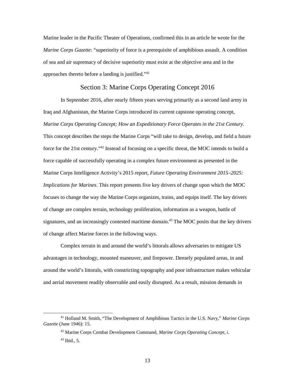Marine leader in the Pacific Theater of Operations, confirmed this in an article he wrote for the approaches thereto before a landing is justified."<sup>41</sup> *Marine Corps Gazette*: "superiority of force is a prerequisite of amphibious assault. A condition of sea and air supremacy of decisive superiority must exist at the objective area and in the

#### Section 3: Marine Corps Operating Concept 2016

<span id="page-19-0"></span> *Marine Corps Operating Concept; How an Expeditionary Force Operates in the 21st Century.*  force for the 21st century."42 Instead of focusing on a specific threat, the MOC intends to build a of change are complex terrain, technology proliferation, information as a weapon, battle of In September 2016, after nearly fifteen years serving primarily as a second land army in Iraq and Afghanistan, the Marine Corps introduced its current capstone operating concept, This concept describes the steps the Marine Corps "will take to design, develop, and field a future force capable of successfully operating in a complex future environment as presented in the Marine Corps Intelligence Activity's 2015 report, *Future Operating Environment 2015–2025: Implications for Marines*. This report presents five key drivers of change upon which the MOC focuses to change the way the Marine Corps organizes, trains, and equips itself. The key drivers signatures, and an increasingly contested maritime domain.<sup>43</sup> The MOC posits that the key drivers of change affect Marine forces in the following ways.

 and aerial movement readily observable and easily disrupted. As a result, mission demands in Complex terrain in and around the world's littorals allows adversaries to mitigate US advantages in technology, mounted maneuver, and firepower. Densely populated areas, in and around the world's littorals, with constricting topography and poor infrastructure makes vehicular

 *Gazette* (June 1946): 15. 41 Holland M. Smith, "The Development of Amphibious Tactics in the U.S. Navy," *Marine Corps* 

<sup>42</sup> Marine Corps Combat Development Command, *Marine Corps Operating Concept*, i.

 $43$  Ibid., 5.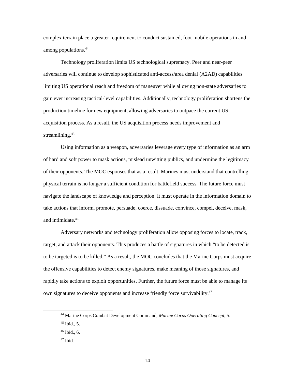complex terrain place a greater requirement to conduct sustained, foot-mobile operations in and among [populations.44](https://populations.44) 

 adversaries will continue to develop sophisticated anti-access/area denial (A2AD) capabilities gain ever increasing tactical-level capabilities. Additionally, technology proliferation shortens the Technology proliferation limits US technological supremacy. Peer and near-peer limiting US operational reach and freedom of maneuver while allowing non-state adversaries to production timeline for new equipment, allowing adversaries to outpace the current US acquisition process. As a result, the US acquisition process needs improvement and [streamlining.](https://streamlining.45) 45

 Using information as a weapon, adversaries leverage every type of information as an arm of their opponents. The MOC espouses that as a result, Marines must understand that controlling physical terrain is no longer a sufficient condition for battlefield success. The future force must navigate the landscape of knowledge and perception. It must operate in the information domain to take actions that inform, promote, persuade, coerce, dissuade, convince, compel, deceive, mask, of hard and soft power to mask actions, mislead unwitting publics, and undermine the legitimacy and [intimidate.46](https://intimidate.46) 

 target, and attack their opponents. This produces a battle of signatures in which "to be detected is the offensive capabilities to detect enemy signatures, make meaning of those signatures, and Adversary networks and technology proliferation allow opposing forces to locate, track, to be targeted is to be killed." As a result, the MOC concludes that the Marine Corps must acquire rapidly take actions to exploit opportunities. Further, the future force must be able to manage its own signatures to deceive opponents and increase friendly force survivability.<sup>47</sup>

 44 Marine Corps Combat Development Command, *Marine Corps Operating Concept*, 5.

 45 Ibid., 5.

 46 Ibid., 6.

 47 Ibid.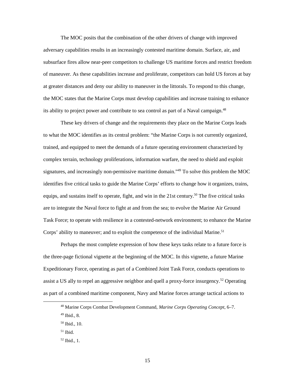The MOC posits that the combination of the other drivers of change with improved adversary capabilities results in an increasingly contested maritime domain. Surface, air, and subsurface fires allow near-peer competitors to challenge US maritime forces and restrict freedom of maneuver. As these capabilities increase and proliferate, competitors can hold US forces at bay at greater distances and deny our ability to maneuver in the littorals. To respond to this change, the MOC states that the Marine Corps must develop capabilities and increase training to enhance its ability to project power and contribute to sea control as part of a Naval campaign.<sup>48</sup>

 to what the MOC identifies as its central problem: "the Marine Corps is not currently organized, identifies five critical tasks to guide the Marine Corps' efforts to change how it organizes, trains, equips, and sustains itself to operate, fight, and win in the 21st century.<sup>50</sup> The five critical tasks are to integrate the Naval force to fight at and from the sea; to evolve the Marine Air Ground Corps' ability to maneuver; and to exploit the competence of the individual Marine.<sup>51</sup> These key drivers of change and the requirements they place on the Marine Corps leads trained, and equipped to meet the demands of a future operating environment characterized by complex terrain, technology proliferations, information warfare, the need to shield and exploit signatures, and increasingly non-permissive maritime domain.<sup>149</sup> To solve this problem the MOC Task Force; to operate with resilience in a contested-network environment; to enhance the Marine

 the three-page fictional vignette at the beginning of the MOC. In this vignette, a future Marine Expeditionary Force, operating as part of a Combined Joint Task Force, conducts operations to assist a US ally to repel an aggressive neighbor and quell a proxy-force insurgency.<sup>52</sup> Operating Perhaps the most complete expression of how these keys tasks relate to a future force is as part of a combined maritime component, Navy and Marine forces arrange tactical actions to

-

<sup>48</sup> Marine Corps Combat Development Command, *Marine Corps Operating Concept*, 6–7.

 49 Ibid., 8.

 50 Ibid., 10.

 51 Ibid.

 52 Ibid., 1.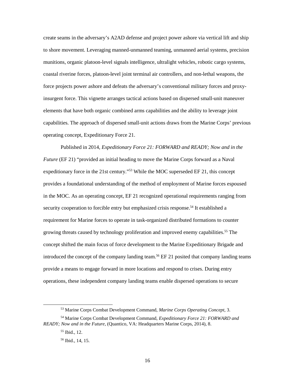coastal riverine forces, platoon-level joint terminal air controllers, and non-lethal weapons, the force projects power ashore and defeats the adversary's conventional military forces and proxycreate seams in the adversary's A2AD defense and project power ashore via vertical lift and ship to shore movement. Leveraging manned-unmanned teaming, unmanned aerial systems, precision munitions, organic platoon-level signals intelligence, ultralight vehicles, robotic cargo systems, insurgent force. This vignette arranges tactical actions based on dispersed small-unit maneuver elements that have both organic combined arms capabilities and the ability to leverage joint capabilities. The approach of dispersed small-unit actions draws from the Marine Corps' previous operating concept, Expeditionary Force 21.

 Published in 2014, *Expeditionary Force 21: FORWARD and READY; Now and in the Future* (EF 21) "provided an initial heading to move the Marine Corps forward as a Naval expeditionary force in the 21st century."<sup>53</sup> While the MOC superseded EF 21, this concept growing threats caused by technology proliferation and improved enemy capabilities.<sup>55</sup> The introduced the concept of the company landing team.<sup>56</sup> EF 21 posited that company landing teams provides a foundational understanding of the method of employment of Marine forces espoused in the MOC. As an operating concept, EF 21 recognized operational requirements ranging from security cooperation to forcible entry but emphasized crisis response.<sup>54</sup> It established a requirement for Marine forces to operate in task-organized distributed formations to counter concept shifted the main focus of force development to the Marine Expeditionary Brigade and provide a means to engage forward in more locations and respond to crises. During entry operations, these independent company landing teams enable dispersed operations to secure

-

<sup>53</sup> Marine Corps Combat Development Command, *Marine Corps Operating Concept*, 3.

 *READY; Now and in the Future*, (Quantico, VA: Headquarters Marine Corps, 2014), 8. 54 Marine Corps Combat Development Command*, Expeditionary Force 21: FORWARD and* 

 55 Ibid., 12.

 56 Ibid., 14, 15.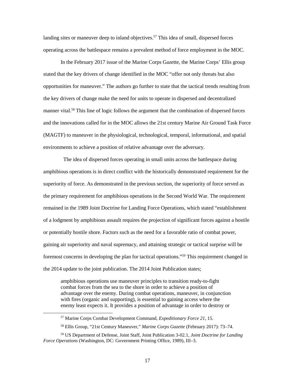operating across the battlespace remains a prevalent method of force employment in the MOC. landing sites or maneuver deep to inland objectives.<sup>57</sup> This idea of small, dispersed forces

 opportunities for maneuver." The authors go further to state that the tactical trends resulting from In the February 2017 issue of the Marine Corps Gazette, the Marine Corps' Ellis group stated that the key drivers of change identified in the MOC "offer not only threats but also the key drivers of change make the need for units to operate in dispersed and decentralized manner [vital.](https://vital.58) 58 This line of logic follows the argument that the combination of dispersed forces and the innovations called for in the MOC allows the 21st century Marine Air Ground Task Force (MAGTF) to maneuver in the physiological, technological, temporal, informational, and spatial environments to achieve a position of relative advantage over the adversary.

 remained in the 1989 Joint Doctrine for Landing Force Operations, which stated "establishment of a lodgment by amphibious assault requires the projection of significant forces against a hostile or potentially hostile shore. Factors such as the need for a favorable ratio of combat power, foremost concerns in developing the plan for tactical operations."59 This requirement changed in the 2014 update to the joint publication. The 2014 Joint Publication states; The idea of dispersed forces operating in small units across the battlespace during amphibious operations is in direct conflict with the historically demonstrated requirement for the superiority of force. As demonstrated in the previous section, the superiority of force served as the primary requirement for amphibious operations in the Second World War. The requirement gaining air superiority and naval supremacy, and attaining strategic or tactical surprise will be

amphibious operations use maneuver principles to transition ready-to-fight combat forces from the sea to the shore in order to achieve a position of advantage over the enemy. During combat operations, maneuver, in conjunction with fires (organic and supporting), is essential to gaining access where the enemy least expects it. It provides a position of advantage in order to destroy or

<sup>57</sup> Marine Corps Combat Development Command, *Expeditionary Force 21*, 15.

 58 Ellis Group, "21st Century Maneuver," *Marine Corps Gazette* (February 2017): 73–74.

<sup>59</sup> US Department of Defense, Joint Staff, Joint Publication 3-02.1, *Joint Doctrine for Landing Force Operations* (Washington, DC: Government Printing Office, 1989), III–3.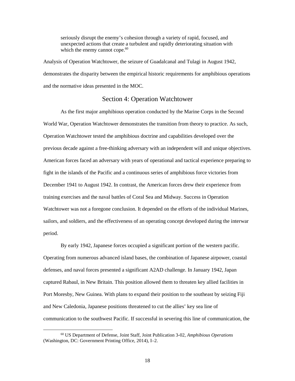unexpected actions that create a turbulent and rapidly deteriorating situation with which the enemy cannot cope.<sup>60</sup> seriously disrupt the enemy's cohesion through a variety of rapid, focused, and

 demonstrates the disparity between the empirical historic requirements for amphibious operations Analysis of Operation Watchtower, the seizure of Guadalcanal and Tulagi in August 1942, and the normative ideas presented in the MOC.

#### Section 4: Operation Watchtower

<span id="page-24-0"></span> American forces faced an adversary with years of operational and tactical experience preparing to fight in the islands of the Pacific and a continuous series of amphibious force victories from sailors, and soldiers, and the effectiveness of an operating concept developed during the interwar As the first major amphibious operation conducted by the Marine Corps in the Second World War, Operation Watchtower demonstrates the transition from theory to practice. As such, Operation Watchtower tested the amphibious doctrine and capabilities developed over the previous decade against a free-thinking adversary with an independent will and unique objectives. December 1941 to August 1942. In contrast, the American forces drew their experience from training exercises and the naval battles of Coral Sea and Midway. Success in Operation Watchtower was not a foregone conclusion. It depended on the efforts of the individual Marines, period.

 defenses, and naval forces presented a significant A2AD challenge. In January 1942, Japan By early 1942, Japanese forces occupied a significant portion of the western pacific. Operating from numerous advanced island bases, the combination of Japanese airpower, coastal captured Rabaul, in New Britain. This position allowed them to threaten key allied facilities in Port Moresby, New Guinea. With plans to expand their position to the southeast by seizing Fiji and New Caledonia, Japanese positions threatened to cut the allies' key sea line of communication to the southwest Pacific. If successful in severing this line of communication, the

-

<sup>60</sup> US Department of Defense, Joint Staff, Joint Publication 3-02, *Amphibious Operations*  (Washington, DC: Government Printing Office, 2014), I–2.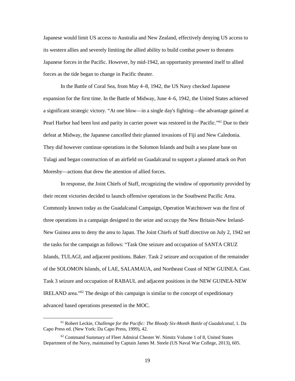Japanese would limit US access to Australia and New Zealand, effectively denying US access to Japanese forces in the Pacific. However, by mid-1942, an opportunity presented itself to allied its western allies and severely limiting the allied ability to build combat power to threaten forces as the tide began to change in Pacific theater.

 expansion for the first time. In the Battle of Midway, June 4–6, 1942, the United States achieved Pearl Harbor had been lost and parity in carrier power was restored in the Pacific."<sup>61</sup> Due to their In the Battle of Coral Sea, from May 4–8, 1942, the US Navy checked Japanese a significant strategic victory. "At one blow—in a single day's fighting—the advantage gained at defeat at Midway, the Japanese cancelled their planned invasions of Fiji and New Caledonia. They did however continue operations in the Solomon Islands and built a sea plane base on Tulagi and began construction of an airfield on Guadalcanal to support a planned attack on Port Moresby—actions that drew the attention of allied forces.

 In response, the Joint Chiefs of Staff, recognizing the window of opportunity provided by Commonly known today as the Guadalcanal Campaign, Operation Watchtower was the first of three operations in a campaign designed to the seize and occupy the New Britain-New Ireland- New Guinea area to deny the area to Japan. The Joint Chiefs of Staff directive on July 2, 1942 set IRELAND area."62 The design of this campaign is similar to the concept of expeditionary advanced based operations presented in the MOC. their recent victories decided to launch offensive operations in the Southwest Pacific Area. the tasks for the campaign as follows: "Task One seizure and occupation of SANTA CRUZ Islands, TULAGI, and adjacent positions. Baker. Task 2 seizure and occupation of the remainder of the SOLOMON Islands, of LAE, SALAMAUA, and Northeast Coast of NEW GUINEA. Cast. Task 3 seizure and occupation of RABAUL and adjacent positions in the NEW GUINEA-NEW

<sup>&</sup>lt;sup>61</sup> Robert Leckie, *Challenge for the Pacific: The Bloody Six-Month Battle of Guadalcanal*, 1. Da Capo Press ed. (New York: Da Capo Press, 1999), 42.

 Department of the Navy, maintained by Captain James M. Steele (US Naval War College, 2013), 605.  $62$  Command Summary of Fleet Admiral Chester W. Nimitz Volume 1 of 8, United States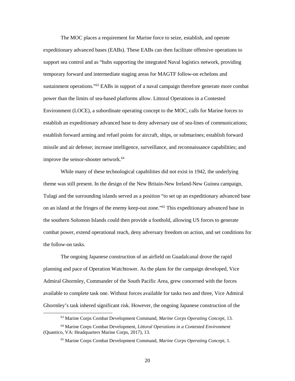sustainment operations."<sup>63</sup> EABs in support of a naval campaign therefore generate more combat power than the limits of sea-based platforms allow. Littoral Operations in a Contested improve the sensor-shooter network.<sup>64</sup> The MOC places a requirement for Marine force to seize, establish, and operate expeditionary advanced bases (EABs). These EABs can then facilitate offensive operations to support sea control and as "hubs supporting the integrated Naval logistics network, providing temporary forward and intermediate staging areas for MAGTF follow-on echelons and Environment (LOCE), a subordinate operating concept to the MOC, calls for Marine forces to establish an expeditionary advanced base to deny adversary use of sea-lines of communications; establish forward arming and refuel points for aircraft, ships, or submarines; establish forward missile and air defense; increase intelligence, surveillance, and reconnaissance capabilities; and

 While many of these technological capabilities did not exist in 1942, the underlying on an island at the fringes of the enemy keep-out zone."<sup>65</sup> This expeditionary advanced base in the southern Solomon Islands could then provide a foothold, allowing US forces to generate the follow-on tasks. theme was still present. In the design of the New Britain-New Ireland-New Guinea campaign, Tulagi and the surrounding islands served as a position "to set up an expeditionary advanced base combat power, extend operational reach, deny adversary freedom on action, and set conditions for

 Admiral Ghormley, Commander of the South Pacific Area, grew concerned with the forces available to complete task one. Without forces available for tasks two and three, Vice Admiral The ongoing Japanese construction of an airfield on Guadalcanal drove the rapid planning and pace of Operation Watchtower. As the plans for the campaign developed, Vice Ghormley's task inhered significant risk. However, the ongoing Japanese construction of the

 $\overline{a}$ 

 63 Marine Corps Combat Development Command, *Marine Corps Operating Concept*, 13.

 (Quantico, VA: Headquarters Marine Corps, 2017), 13. 64 Marine Corps Combat Development, *Littoral Operations in a Contested Environment* 

<sup>65</sup> Marine Corps Combat Development Command, *Marine Corps Operating Concept*, 1.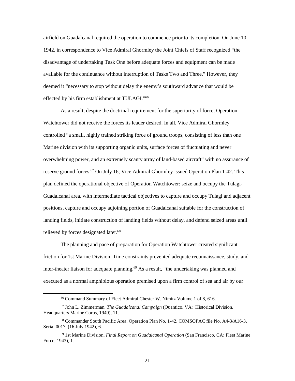available for the continuance without interruption of Tasks Two and Three." However, they effected by his firm establishment at TULAGI."<sup>66</sup> airfield on Guadalcanal required the operation to commence prior to its completion. On June 10, 1942, in correspondence to Vice Admiral Ghormley the Joint Chiefs of Staff recognized "the disadvantage of undertaking Task One before adequate forces and equipment can be made deemed it "necessary to stop without delay the enemy's southward advance that would be

 Watchtower did not receive the forces its leader desired. In all, Vice Admiral Ghormley overwhelming power, and an extremely scanty array of land-based aircraft" with no assurance of reserve ground forces.<sup>67</sup> On July 16, Vice Admiral Ghormley issued Operation Plan 1-42. This positions, capture and occupy adjoining portion of Guadalcanal suitable for the construction of As a result, despite the doctrinal requirement for the superiority of force, Operation controlled "a small, highly trained striking force of ground troops, consisting of less than one Marine division with its supporting organic units, surface forces of fluctuating and never plan defined the operational objective of Operation Watchtower: seize and occupy the Tulagi-Guadalcanal area, with intermediate tactical objectives to capture and occupy Tulagi and adjacent landing fields, initiate construction of landing fields without delay, and defend seized areas until relieved by forces designated later.<sup>68</sup>

 friction for 1st Marine Division. Time constraints prevented adequate reconnaissance, study, and executed as a normal amphibious operation premised upon a firm control of sea and air by our The planning and pace of preparation for Operation Watchtower created significant inter-theater liaison for adequate planning.<sup>69</sup> As a result, "the undertaking was planned and

<u>.</u>

21

<sup>66</sup> Command Summary of Fleet Admiral Chester W. Nimitz Volume 1 of 8, 616.

<sup>67</sup> John L. Zimmerman, *The Guadalcanal Campaign* (Quantico, VA: Historical Division, Headquarters Marine Corps, 1949), 11.

 Serial 0017, (16 July 1942), 6. 68 Commander South Pacific Area. Operation Plan No. 1-42. COMSOPAC file No. A4-3/A16-3,

 Force, 1943), 1. 69 1st Marine Division. *Final Report on Guadalcanal Operation* (San Francisco, CA: Fleet Marine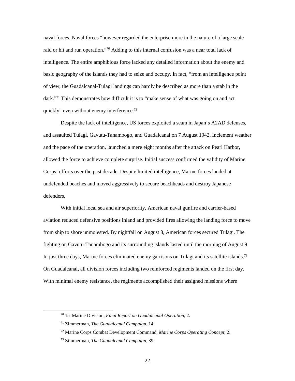intelligence. The entire amphibious force lacked any detailed information about the enemy and dark."<sup>71</sup> This demonstrates how difficult it is to "make sense of what was going on and act naval forces. Naval forces "however regarded the enterprise more in the nature of a large scale raid or hit and run operation."<sup>70</sup> Adding to this internal confusion was a near total lack of basic geography of the islands they had to seize and occupy. In fact, "from an intelligence point of view, the Guadalcanal-Tulagi landings can hardly be described as more than a stab in the quickly" even without enemy interference.<sup>72</sup>

 Despite the lack of intelligence, US forces exploited a seam in Japan's A2AD defenses, and assaulted Tulagi, Gavutu-Tanambogo, and Guadalcanal on 7 August 1942. Inclement weather allowed the force to achieve complete surprise. Initial success confirmed the validity of Marine Corps' efforts over the past decade. Despite limited intelligence, Marine forces landed at undefended beaches and moved aggressively to secure beachheads and destroy Japanese and the pace of the operation, launched a mere eight months after the attack on Pearl Harbor, defenders.

 aviation reduced defensive positions inland and provided fires allowing the landing force to move In just three days, Marine forces eliminated enemy garrisons on Tulagi and its satellite islands.<sup>73</sup> With initial local sea and air superiority, American naval gunfire and carrier-based from ship to shore unmolested. By nightfall on August 8, American forces secured Tulagi. The fighting on Gavutu-Tanambogo and its surrounding islands lasted until the morning of August 9. On Guadalcanal, all division forces including two reinforced regiments landed on the first day. With minimal enemy resistance, the regiments accomplished their assigned missions where

 70 1st Marine Division, *Final Report on Guadalcanal Operation*, 2.

<sup>71</sup> Zimmerman, *The Guadalcanal Campaign*, 14.

<sup>72</sup> Marine Corps Combat Development Command, *Marine Corps Operating Concept*, 2.

<sup>73</sup> Zimmerman, *The Guadalcanal Campaign*, 39.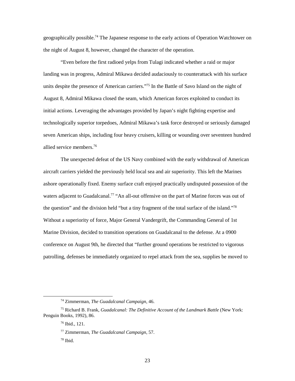the night of August 8, however, changed the character of the operation. geographically [possible.74](https://possible.74) The Japanese response to the early actions of Operation Watchtower on

 allied service [members.76](https://members.76) "Even before the first radioed yelps from Tulagi indicated whether a raid or major landing was in progress, Admiral Mikawa decided audaciously to counterattack with his surface units despite the presence of American carriers."75 In the Battle of Savo Island on the night of August 8, Admiral Mikawa closed the seam, which American forces exploited to conduct its initial actions. Leveraging the advantages provided by Japan's night fighting expertise and technologically superior torpedoes, Admiral Mikawa's task force destroyed or seriously damaged seven American ships, including four heavy cruisers, killing or wounding over seventeen hundred

 aircraft carriers yielded the previously held local sea and air superiority. This left the Marines Without a superiority of force, Major General Vandergrift, the Commanding General of 1st Marine Division, decided to transition operations on Guadalcanal to the defense. At a 0900 patrolling, defenses be immediately organized to repel attack from the sea, supplies be moved to The unexpected defeat of the US Navy combined with the early withdrawal of American ashore operationally fixed. Enemy surface craft enjoyed practically undisputed possession of the waters adjacent to Guadalcanal.<sup>77</sup> "An all-out offensive on the part of Marine forces was out of the question" and the division held "but a tiny fragment of the total surface of the island."78 conference on August 9th, he directed that "further ground operations be restricted to vigorous

<sup>74</sup> Zimmerman, *The Guadalcanal Campaign*, 46.

<sup>75</sup> Richard B. Frank, *Guadalcanal: The Definitive Account of the Landmark Battle* (New York: Penguin Books, 1992), 86.

 76 Ibid., 121.

<sup>77</sup> Zimmerman, *The Guadalcanal Campaign*, 57.

 78 Ibid.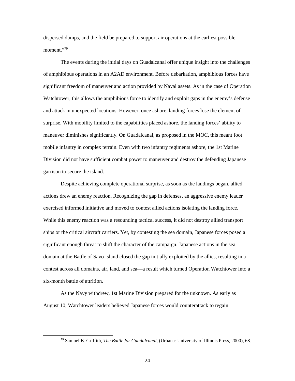dispersed dumps, and the field be prepared to support air operations at the earliest possible moment."79

 The events during the initial days on Guadalcanal offer unique insight into the challenges of amphibious operations in an A2AD environment. Before debarkation, amphibious forces have Watchtower, this allows the amphibious force to identify and exploit gaps in the enemy's defense maneuver diminishes significantly. On Guadalcanal, as proposed in the MOC, this meant foot mobile infantry in complex terrain. Even with two infantry regiments ashore, the 1st Marine significant freedom of maneuver and action provided by Naval assets. As in the case of Operation and attack in unexpected locations. However, once ashore, landing forces lose the element of surprise. With mobility limited to the capabilities placed ashore, the landing forces' ability to Division did not have sufficient combat power to maneuver and destroy the defending Japanese garrison to secure the island.

 exercised informed initiative and moved to contest allied actions isolating the landing force. While this enemy reaction was a resounding tactical success, it did not destroy allied transport ships or the critical aircraft carriers. Yet, by contesting the sea domain, Japanese forces posed a significant enough threat to shift the character of the campaign. Japanese actions in the sea domain at the Battle of Savo Island closed the gap initially exploited by the allies, resulting in a contest across all domains, air, land, and sea—a result which turned Operation Watchtower into a six-month battle of attrition. Despite achieving complete operational surprise, as soon as the landings began, allied actions drew an enemy reaction. Recognizing the gap in defenses, an aggressive enemy leader

 As the Navy withdrew, 1st Marine Division prepared for the unknown. As early as August 10, Watchtower leaders believed Japanese forces would counterattack to regain

<sup>79</sup> Samuel B. Griffith, *The Battle for Guadalcanal,* (Urbana: University of Illinois Press, 2000), 68.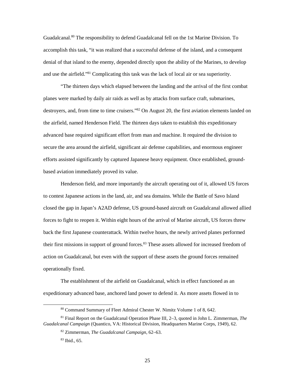Guadalcanal.<sup>80</sup> The responsibility to defend Guadalcanal fell on the 1st Marine Division. To denial of that island to the enemy, depended directly upon the ability of the Marines, to develop and use the airfield."<sup>81</sup> Complicating this task was the lack of local air or sea superiority. accomplish this task, "it was realized that a successful defense of the island, and a consequent

 "The thirteen days which elapsed between the landing and the arrival of the first combat planes were marked by daily air raids as well as by attacks from surface craft, submarines, destroyers, and, from time to time cruisers."<sup>82</sup> On August 20, the first aviation elements landed on based aviation immediately proved its value. the airfield, named Henderson Field. The thirteen days taken to establish this expeditionary advanced base required significant effort from man and machine. It required the division to secure the area around the airfield, significant air defense capabilities, and enormous engineer efforts assisted significantly by captured Japanese heavy equipment. Once established, ground-

 Henderson field, and more importantly the aircraft operating out of it, allowed US forces to contest Japanese actions in the land, air, and sea domains. While the Battle of Savo Island their first missions in support of ground forces.<sup>83</sup> These assets allowed for increased freedom of action on Guadalcanal, but even with the support of these assets the ground forces remained closed the gap in Japan's A2AD defense, US ground-based aircraft on Guadalcanal allowed allied forces to fight to reopen it. Within eight hours of the arrival of Marine aircraft, US forces threw back the first Japanese counterattack. Within twelve hours, the newly arrived planes performed operationally fixed.

 The establishment of the airfield on Guadalcanal, which in effect functioned as an expeditionary advanced base, anchored land power to defend it. As more assets flowed in to

 $\ddot{\phantom{a}}$ 

<sup>80</sup> Command Summary of Fleet Admiral Chester W. Nimitz Volume 1 of 8, 642.

*Guadalcanal Campaign* (Quantico, VA: Historical Division, Headquarters Marine Corps, 1949), 62.<br><sup>82</sup> Zimmerman, *The Guadalcanal Campaign*, 62–63. 81 Final Report on the Guadalcanal Operation Phase III, 2–3, quoted in John L. Zimmerman, *The* 

 83 Ibid., 65.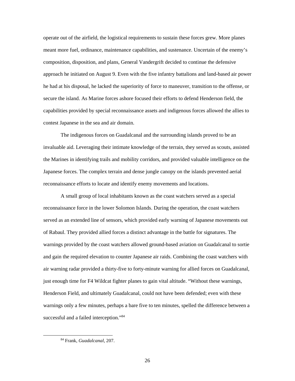operate out of the airfield, the logistical requirements to sustain these forces grew. More planes approach he initiated on August 9. Even with the five infantry battalions and land-based air power secure the island. As Marine forces ashore focused their efforts to defend Henderson field, the capabilities provided by special reconnaissance assets and indigenous forces allowed the allies to contest Japanese in the sea and air domain. meant more fuel, ordinance, maintenance capabilities, and sustenance. Uncertain of the enemy's composition, disposition, and plans, General Vandergrift decided to continue the defensive he had at his disposal, he lacked the superiority of force to maneuver, transition to the offense, or

 invaluable aid. Leveraging their intimate knowledge of the terrain, they served as scouts, assisted Japanese forces. The complex terrain and dense jungle canopy on the islands prevented aerial reconnaissance efforts to locate and identify enemy movements and locations. The indigenous forces on Guadalcanal and the surrounding islands proved to be an the Marines in identifying trails and mobility corridors, and provided valuable intelligence on the

 A small group of local inhabitants known as the coast watchers served as a special served as an extended line of sensors, which provided early warning of Japanese movements out and gain the required elevation to counter Japanese air raids. Combining the coast watchers with reconnaissance force in the lower Solomon Islands. During the operation, the coast watchers of Rabaul. They provided allied forces a distinct advantage in the battle for signatures. The warnings provided by the coast watchers allowed ground-based aviation on Guadalcanal to sortie air warning radar provided a thirty-five to forty-minute warning for allied forces on Guadalcanal, just enough time for F4 Wildcat fighter planes to gain vital altitude. "Without these warnings, Henderson Field, and ultimately Guadalcanal, could not have been defended; even with these warnings only a few minutes, perhaps a bare five to ten minutes, spelled the difference between a successful and a failed interception."84

<sup>84</sup> Frank, *Guadalcanal*, 207.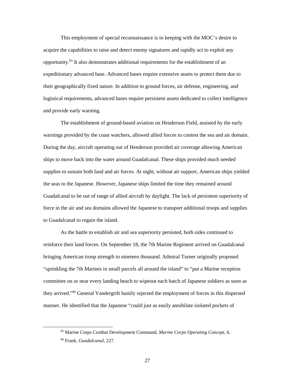acquire the capabilities to raise and detect enemy signatures and rapidly act to exploit any expeditionary advanced base. Advanced bases require extensive assets to protect them due to logistical requirements, advanced bases require persistent assets dedicated to collect intelligence This employment of special reconnaissance is in keeping with the MOC's desire to [opportunity.85](https://opportunity.85) It also demonstrates additional requirements for the establishment of an their geographically fixed nature. In addition to ground forces, air defense, engineering, and and provide early warning.

 The establishment of ground-based aviation on Henderson Field, assisted by the early supplies to sustain both land and air forces. At night, without air support, American ships yielded force in the air and sea domains allowed the Japanese to transport additional troops and supplies to Guadalcanal to regain the island. warnings provided by the coast watchers, allowed allied forces to contest the sea and air domain. During the day, aircraft operating out of Henderson provided air coverage allowing American ships to move back into the water around Guadalcanal. These ships provided much needed the seas to the Japanese. However, Japanese ships limited the time they remained around Guadalcanal to be out of range of allied aircraft by daylight. The lack of persistent superiority of

 reinforce their land forces. On September 18, the 7th Marine Regiment arrived on Guadalcanal "sprinkling the 7th Marines in small parcels all around the island" to "put a Marine reception committee on or near every landing beach to wipeout each batch of Japanese soldiers as soon as manner. He identified that the Japanese "could just as easily annihilate isolated pockets of As the battle to establish air and sea superiority persisted, both sides continued to bringing American troop strength to nineteen thousand. Admiral Turner originally proposed they arrived."86 General Vandergrift hastily rejected the employment of forces in this dispersed

-

<sup>85</sup> Marine Corps Combat Development Command, *Marine Corps Operating Concept*, 6.

<sup>86</sup> Frank, *Guadalcanal*, 227.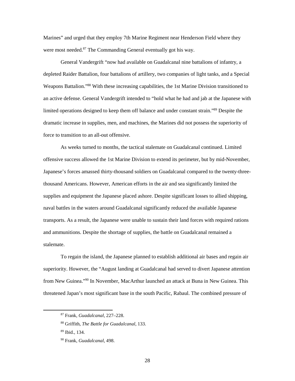Marines" and urged that they employ 7th Marine Regiment near Henderson Field where they were most needed.<sup>87</sup> The Commanding General eventually got his way.

 General Vandergrift "now had available on Guadalcanal nine battalions of infantry, a an active defense. General Vandergrift intended to "hold what he had and jab at the Japanese with dramatic increase in supplies, men, and machines, the Marines did not possess the superiority of depleted Raider Battalion, four battalions of artillery, two companies of light tanks, and a Special Weapons Battalion."88 With these increasing capabilities, the 1st Marine Division transitioned to limited operations designed to keep them off balance and under constant strain."89 Despite the force to transition to an all-out offensive.

 thousand Americans. However, American efforts in the air and sea significantly limited the and ammunitions. Despite the shortage of supplies, the battle on Guadalcanal remained a As weeks turned to months, the tactical stalemate on Guadalcanal continued. Limited offensive success allowed the 1st Marine Division to extend its perimeter, but by mid-November, Japanese's forces amassed thirty-thousand soldiers on Guadalcanal compared to the twenty-threesupplies and equipment the Japanese placed ashore. Despite significant losses to allied shipping, naval battles in the waters around Guadalcanal significantly reduced the available Japanese transports. As a result, the Japanese were unable to sustain their land forces with required rations stalemate.

 To regain the island, the Japanese planned to establish additional air bases and regain air superiority. However, the "August landing at Guadalcanal had served to divert Japanese attention from New Guinea."90 In November, MacArthur launched an attack at Buna in New Guinea. This threatened Japan's most significant base in the south Pacific, Rabaul. The combined pressure of

 $\overline{a}$ 

<sup>87</sup> Frank, *Guadalcanal*, 227–228.

<sup>88</sup> Griffith, *The Battle for Guadalcanal*, 133.

 89 Ibid., 134.

<sup>90</sup> Frank, *Guadalcanal*, 498.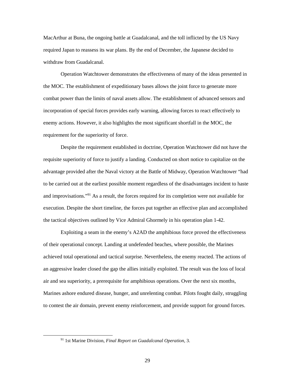MacArthur at Buna, the ongoing battle at Guadalcanal, and the toll inflicted by the US Navy required Japan to reassess its war plans. By the end of December, the Japanese decided to withdraw from Guadalcanal.

 Operation Watchtower demonstrates the effectiveness of many of the ideas presented in incorporation of special forces provides early warning, allowing forces to react effectively to requirement for the superiority of force. the MOC. The establishment of expeditionary bases allows the joint force to generate more combat power than the limits of naval assets allow. The establishment of advanced sensors and enemy actions. However, it also highlights the most significant shortfall in the MOC, the

 Despite the requirement established in doctrine, Operation Watchtower did not have the execution. Despite the short timeline, the forces put together an effective plan and accomplished requisite superiority of force to justify a landing. Conducted on short notice to capitalize on the advantage provided after the Naval victory at the Battle of Midway, Operation Watchtower "had to be carried out at the earliest possible moment regardless of the disadvantages incident to haste and improvisations."91 As a result, the forces required for its completion were not available for the tactical objectives outlined by Vice Admiral Ghormely in his operation plan 1-42.

 of their operational concept. Landing at undefended beaches, where possible, the Marines achieved total operational and tactical surprise. Nevertheless, the enemy reacted. The actions of an aggressive leader closed the gap the allies initially exploited. The result was the loss of local air and sea superiority, a prerequisite for amphibious operations. Over the next six months, to contest the air domain, prevent enemy reinforcement, and provide support for ground forces. Exploiting a seam in the enemy's A2AD the amphibious force proved the effectiveness Marines ashore endured disease, hunger, and unrelenting combat. Pilots fought daily, struggling

<sup>91 1</sup>st Marine Division, *Final Report on Guadalcanal Operation*, 3.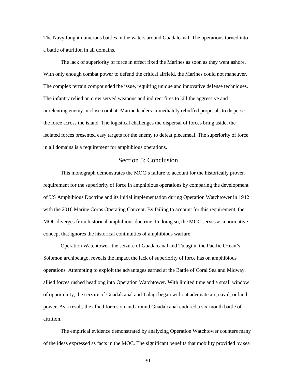The Navy fought numerous battles in the waters around Guadalcanal. The operations turned into a battle of attrition in all domains.

 The lack of superiority of force in effect fixed the Marines as soon as they went ashore. With only enough combat power to defend the critical airfield, the Marines could not maneuver. unrelenting enemy in close combat. Marine leaders immediately rebuffed proposals to disperse the force across the island. The logistical challenges the dispersal of forces bring aside, the The complex terrain compounded the issue, requiring unique and innovative defense techniques. The infantry relied on crew served weapons and indirect fires to kill the aggressive and isolated forces presented easy targets for the enemy to defeat piecemeal. The superiority of force in all domains is a requirement for amphibious operations.

#### <span id="page-36-0"></span>Section 5: Conclusion

 This monograph demonstrates the MOC's failure to account for the historically proven of US Amphibious Doctrine and its initial implementation during Operation Watchtower in 1942 with the 2016 Marine Corps Operating Concept. By failing to account for this requirement, the concept that ignores the historical continuities of amphibious warfare. requirement for the superiority of force in amphibious operations by comparing the development MOC diverges from historical amphibious doctrine. In doing so, the MOC serves as a normative

 concept that ignores the historical continuities of amphibious warfare. Operation Watchtower, the seizure of Guadalcanal and Tulagi in the Pacific Ocean's Solomon archipelago, reveals the impact the lack of superiority of force has on amphibious operations. Attempting to exploit the advantages earned at the Battle of Coral Sea and Midway, of opportunity, the seizure of Guadalcanal and Tulagi began without adequate air, naval, or land power. As a result, the allied forces on and around Guadalcanal endured a six-month battle of allied forces rushed headlong into Operation Watchtower. With limited time and a small window attrition.

 of the ideas expressed as facts in the MOC. The significant benefits that mobility provided by sea The empirical evidence demonstrated by analyzing Operation Watchtower counters many

30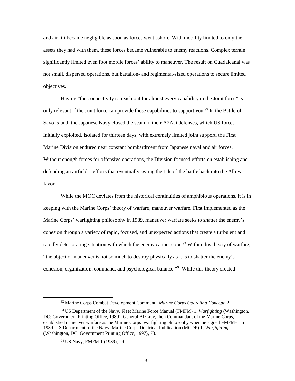and air lift became negligible as soon as forces went ashore. With mobility limited to only the assets they had with them, these forces became vulnerable to enemy reactions. Complex terrain significantly limited even foot mobile forces' ability to maneuver. The result on Guadalcanal was not small, dispersed operations, but battalion- and regimental-sized operations to secure limited objectives.

Having "the connectivity to reach out for almost every capability in the Joint force" is only relevant if the Joint force can provide those capabilities to support you.<sup>92</sup> In the Battle of Savo Island, the Japanese Navy closed the seam in their A2AD defenses, which US forces initially exploited. Isolated for thirteen days, with extremely limited joint support, the First Marine Division endured near constant bombardment from Japanese naval and air forces. Without enough forces for offensive operations, the Division focused efforts on establishing and defending an airfield—efforts that eventually swung the tide of the battle back into the Allies' favor.

 While the MOC deviates from the historical continuities of amphibious operations, it is in "the object of maneuver is not so much to destroy physically as it is to shatter the enemy's cohesion, organization, command, and psychological balance."94 While this theory created keeping with the Marine Corps' theory of warfare, maneuver warfare. First implemented as the Marine Corps' warfighting philosophy in 1989, maneuver warfare seeks to shatter the enemy's cohesion through a variety of rapid, focused, and unexpected actions that create a turbulent and rapidly deteriorating situation with which the enemy cannot cope.<sup>93</sup> Within this theory of warfare,

<sup>92</sup> Marine Corps Combat Development Command, *Marine Corps Operating Concept*, 2.

 established maneuver warfare as the Marine Corps' warfighting philosophy when he signed FMFM-1 in 93 US Department of the Navy, Fleet Marine Force Manual (FMFM) 1, *Warfighting* (Washington, DC: Government Printing Office, 1989). General Al Gray, then Commandant of the Marine Corps, 1989. US Department of the Navy, Marine Corps Doctrinal Publication (MCDP) 1, *Warfighting*  (Washington, DC: Government Printing Office, 1997), 73.

 94 US Navy, FMFM 1 (1989), 29.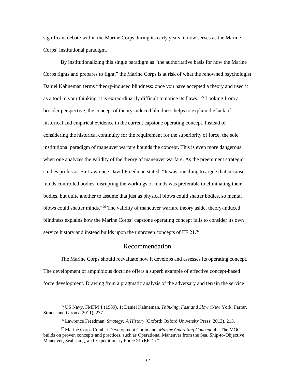significant debate within the Marine Corps during its early years, it now serves as the Marine Corps' institutional paradigm.

 By institutionalizing this single paradigm as "the authoritative basis for how the Marine Corps fights and prepares to fight," the Marine Corps is at risk of what the renowned psychologist as a tool in your thinking, it is extraordinarily difficult to notice its flaws."<sup>95</sup> Looking from a broader perspective, the concept of theory-induced blindness helps to explain the lack of considering the historical continuity for the requirement for the superiority of force, the sole when one analyzes the validity of the theory of maneuver warfare. As the preeminent strategic studies professor Sir Lawrence David Freedman stated: "It was one thing to argue that because bodies, but quite another to assume that just as physical blows could shatter bodies, so mental service history and instead builds upon the unproven concepts of  $EF$  21. $\frac{97}{2}$ Daniel Kahneman terms "theory-induced blindness: once you have accepted a theory and used it historical and empirical evidence in the current capstone operating concept. Instead of institutional paradigm of maneuver warfare bounds the concept. This is even more dangerous minds controlled bodies, disrupting the workings of minds was preferable to eliminating their blows could shatter minds."96 The validity of maneuver warfare theory aside, theory-induced blindness explains how the Marine Corps' capstone operating concept fails to consider its own

#### Recommendation

<span id="page-38-0"></span> The Marine Corps should reevaluate how it develops and assesses its operating concept. The development of amphibious doctrine offers a superb example of effective concept-based force development. Drawing from a pragmatic analysis of the adversary and terrain the service

 95 US Navy, FMFM 1 (1989), 1; Daniel Kahneman, *Thinking, Fast and Slow* (New York: Farrar, Straus, and Giroux, 2011), 277.

<sup>96</sup> Lawrence Freedman, *Strategy: A History* (Oxford: Oxford University Press, 2013), 213.

<sup>97</sup> Marine Corps Combat Development Command, *Marine Operating Concept*, 4. "The MOC builds on proven concepts and practices, such as Operational Maneuver from the Sea, Ship-to-Objective Maneuver, Seabasing, and Expeditionary Force 21 (EF21)."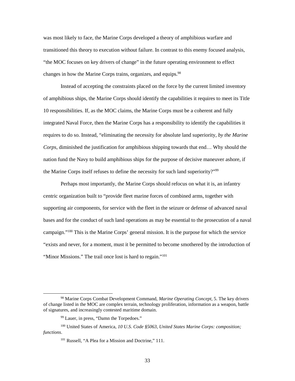was most likely to face, the Marine Corps developed a theory of amphibious warfare and changes in how the Marine Corps trains, organizes, and equips.<sup>98</sup> transitioned this theory to execution without failure. In contrast to this enemy focused analysis, "the MOC focuses on key drivers of change" in the future operating environment to effect

 10 responsibilities. If, as the MOC claims, the Marine Corps must be a coherent and fully requires to do so. Instead, "eliminating the necessity for absolute land superiority, *by the Marine Corps*, diminished the justification for amphibious shipping towards that end… Why should the Instead of accepting the constraints placed on the force by the current limited inventory of amphibious ships, the Marine Corps should identify the capabilities it requires to meet its Title integrated Naval Force, then the Marine Corps has a responsibility to identify the capabilities it nation fund the Navy to build amphibious ships for the purpose of decisive maneuver ashore, if the Marine Corps itself refuses to define the necessity for such land superiority?"<sup>99</sup>

 Perhaps most importantly, the Marine Corps should refocus on what it is, an infantry centric organization built to "provide fleet marine forces of combined arms, together with supporting air components, for service with the fleet in the seizure or defense of advanced naval bases and for the conduct of such land operations as may be essential to the prosecution of a naval "Minor Missions." The trail once lost is hard to regain."<sup>101</sup> campaign."100 This is the Marine Corps' general mission. It is the purpose for which the service "exists and never, for a moment, must it be permitted to become smothered by the introduction of

 98 Marine Corps Combat Development Command, *Marine Operating Concept*, 5. The key drivers of change listed in the MOC are complex terrain, technology proliferation, information as a weapon, battle of signatures, and increasingly contested maritime domain.

<sup>&</sup>lt;sup>99</sup> Lauer, in press, "Damn the Torpedoes."

<sup>&</sup>lt;sup>99</sup> Lauer, in press, "Damn the Torpedoes."<br><sup>100</sup> United States of America, *10 U.S. Code §5063, United States Marine Corps: composition;* functions.

<sup>&</sup>lt;sup>101</sup> Russell, "A Plea for a Mission and Doctrine," 111.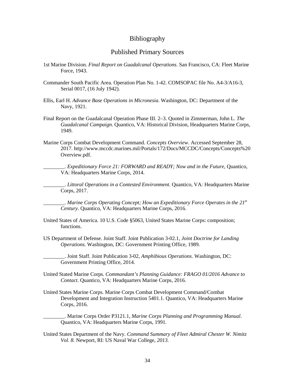#### Bibliography

#### Published Primary Sources

- <span id="page-40-1"></span><span id="page-40-0"></span> Force, 1943. 1st Marine Division. *Final Report on Guadalcanal Operations*. San Francisco, CA: Fleet Marine
- Commander South Pacific Area. Operation Plan No. 1-42. COMSOPAC file No. A4-3/A16-3, Serial 0017, (16 July 1942).
- Ellis, Earl H. *Advance Base Operations in Micronesia*. Washington, DC: Department of the Navy, 1921.
- Final Report on the Guadalcanal Operation Phase III. 2–3. Quoted in Zimmerman, John L. *The*  1949. *Guadalcanal Campaign*. Quantico, VA: Historical Division, Headquarters Marine Corps,
- Marine Corps Combat Development Command. *Concepts Overview*. Accessed September 28, 2017. <http://www.mccdc.marines.mil/Portals/172/Docs/MCCDC/Concepts/Concepts%20> Overview.pdf.

 VA: Headquarters Marine Corps, 2014. \_\_\_\_\_\_\_\_. *Expeditionary Force 21: FORWARD and READY; Now and in the Future*, Quantico,

 Corps, 2017. \_\_\_\_\_\_\_\_. *Littoral Operations in a Contested Environment*. Quantico, VA: Headquarters Marine

 \_\_\_\_\_\_\_\_. *Marine Corps Operating Concept; How an Expeditionary Force Operates in the 21st Century*. Quantico, VA: Headquarters Marine Corps, 2016.

- United States of America. 10 U.S. Code §5063, United States Marine Corps: composition; functions.
- US Department of Defense. Joint Staff. Joint Publication 3-02.1, *Joint Doctrine for Landing Operations*. Washington, DC: Government Printing Office, 1989.

\_\_\_\_\_\_\_\_. Joint Staff. Joint Publication 3-02, *Amphibious Operations*. Washington, DC: Government Printing Office, 2014.

- *Contact*. Quantico, VA: Headquarters Marine Corps, 2016. United Stated Marine Corps*. Commandant's Planning Guidance: FRAGO 01/2016 Advance to*
- Corps, 2016. United States Marine Corps. Marine Corps Combat Development Command/Combat Development and Integration Instruction 5401.1. Quantico, VA: Headquarters Marine

 \_\_\_\_\_\_\_\_. Marine Corps Order P3121.1, *Marine Corps Planning and Programming Manual*. Quantico, VA: Headquarters Marine Corps, 1991.

United States Department of the Navy. *Command Summary of Fleet Admiral Chester W. Nimitz Vol. 8.* Newport, RI: US Naval War College, *2013.*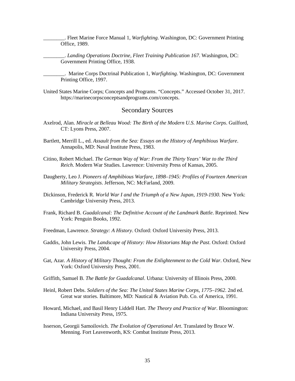\_\_\_\_\_\_\_\_. Fleet Marine Force Manual 1, *Warfighting*. Washington, DC: Government Printing Office, 1989.

\_\_\_\_\_\_\_\_. *Landing Operations Doctrine, Fleet Training Publication 167*. Washington, DC: Government Printing Office, 1938.

\_\_\_\_\_\_\_\_. Marine Corps Doctrinal Publication 1, *Warfighting*. Washington, DC: Government Printing Office, 1997.

United States Marine Corps; Concepts and Programs. "Concepts." Accessed October 31, 2017. <https://marinecorpsconceptsandprograms.com/concepts>.

#### Secondary Sources

- <span id="page-41-0"></span>Axelrod, Alan. *Miracle at Belleau Wood: The Birth of the Modern U.S. Marine Corps*. Guilford, CT: Lyons Press, 2007.
- Bartlett, Merrill L., ed. *Assault from the Sea: Essays on the History of Amphibious Warfare*. Annapolis, MD: Naval Institute Press, 1983.
- Citino, Robert Michael. *The German Way of War: From the Thirty Years' War to the Third Reich*. Modern War Studies. Lawrence: University Press of Kansas, 2005.
- Daugherty, Leo J. *Pioneers of Amphibious Warfare, 1898–1945: Profiles of Fourteen American Military Strategists*. Jefferson, NC: McFarland, 2009.
- Dickinson, Frederick R. *World War I and the Triumph of a New Japan, 1919-1930*. New York: Cambridge University Press, 2013.
- Frank, Richard B. *Guadalcanal: The Definitive Account of the Landmark Battle*. Reprinted. New York: Penguin Books, 1992.
- Freedman, Lawrence. *Strategy: A History*. Oxford: Oxford University Press, 2013.
- Gaddis, John Lewis. *The Landscape of History: How Historians Map the Past*. Oxford: Oxford University Press, 2004.
- Gat, Azar*. A History of Military Thought: From the Enlightenment to the Cold War*. Oxford, New York: Oxford University Press, 2001.
- Griffith, Samuel B. *The Battle for Guadalcanal*. Urbana: University of Illinois Press, 2000.
- Heinl, Robert Debs. *Soldiers of the Sea: The United States Marine Corps, 1775–1962*. 2nd ed. Great war stories. Baltimore, MD: Nautical & Aviation Pub. Co. of America, 1991.
- Howard, Michael, and Basil Henry Liddell Hart. *The Theory and Practice of War*. Bloomington: Indiana University Press, 1975.
- Isserson, Georgii Samoilovich. *The Evolution of Operational Art*. Translated by Bruce W. Menning. Fort Leavenworth, KS: Combat Institute Press, 2013.